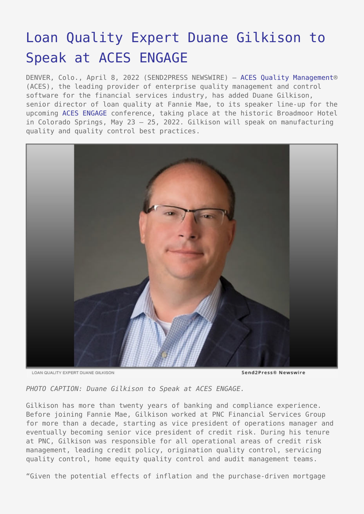## [Loan Quality Expert Duane Gilkison to](https://www.send2press.com/wire/loan-quality-expert-duane-gilkison-to-speak-at-aces-engage/) [Speak at ACES ENGAGE](https://www.send2press.com/wire/loan-quality-expert-duane-gilkison-to-speak-at-aces-engage/)

DENVER, Colo., April 8, 2022 (SEND2PRESS NEWSWIRE) - [ACES Quality Management®](https://www.acesquality.com/) (ACES), the leading provider of enterprise quality management and control software for the financial services industry, has added Duane Gilkison, senior director of loan quality at Fannie Mae, to its speaker line-up for the upcoming [ACES ENGAGE](https://www.acesquality.com/aces-engage-2022) conference, taking place at the historic Broadmoor Hotel in Colorado Springs, May 23 – 25, 2022. Gilkison will speak on manufacturing quality and quality control best practices.



LOAN QUALITY EXPERT DUANE GILKISON

Send2Press® Newswire

*PHOTO CAPTION: Duane Gilkison to Speak at ACES ENGAGE.*

Gilkison has more than twenty years of banking and compliance experience. Before joining Fannie Mae, Gilkison worked at PNC Financial Services Group for more than a decade, starting as vice president of operations manager and eventually becoming senior vice president of credit risk. During his tenure at PNC, Gilkison was responsible for all operational areas of credit risk management, leading credit policy, origination quality control, servicing quality control, home equity quality control and audit management teams.

"Given the potential effects of inflation and the purchase-driven mortgage